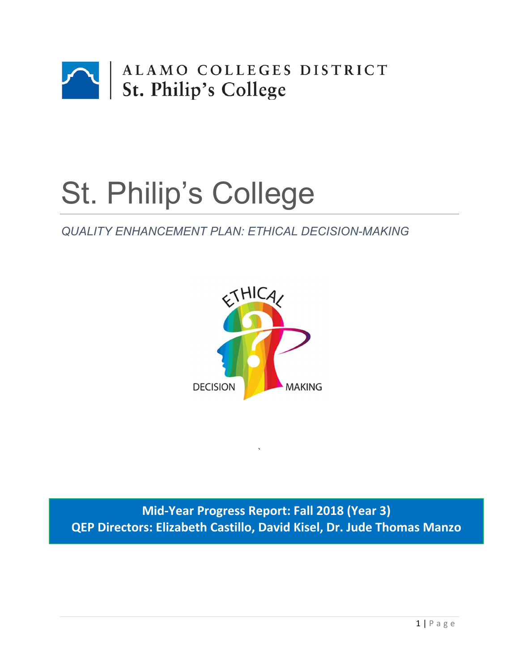

# St. Philip's College

# *QUALITY ENHANCEMENT PLAN: ETHICAL DECISION-MAKING*



**Mid‐Year Progress Report: Fall 2018 (Year 3) QEP Directors: Elizabeth Castillo, David Kisel, Dr. Jude Thomas Manzo** 

`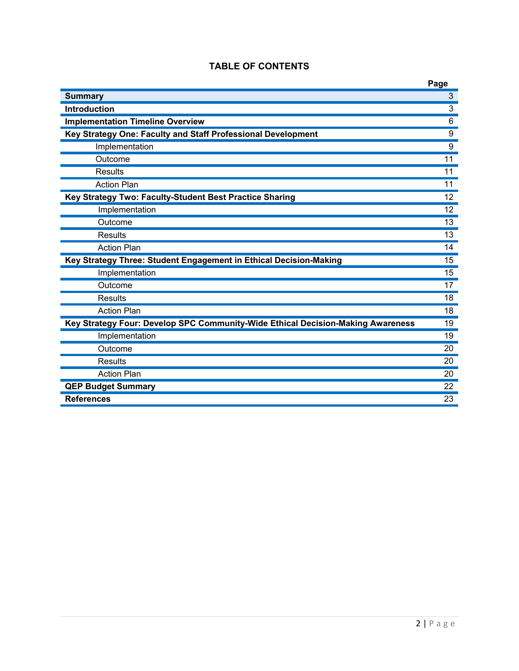|                                                                                 | Page           |
|---------------------------------------------------------------------------------|----------------|
| <b>Summary</b>                                                                  | $\mathfrak{S}$ |
| <b>Introduction</b>                                                             | $\overline{3}$ |
| <b>Implementation Timeline Overview</b>                                         | 6              |
| Key Strategy One: Faculty and Staff Professional Development                    | 9              |
| Implementation                                                                  | 9              |
| Outcome                                                                         | 11             |
| Results                                                                         | 11             |
| <b>Action Plan</b>                                                              | 11             |
| Key Strategy Two: Faculty-Student Best Practice Sharing                         | 12             |
| Implementation                                                                  | 12             |
| Outcome                                                                         | 13             |
| <b>Results</b>                                                                  | 13             |
| <b>Action Plan</b>                                                              | 14             |
| Key Strategy Three: Student Engagement in Ethical Decision-Making               | 15             |
| Implementation                                                                  | 15             |
| Outcome                                                                         | 17             |
| <b>Results</b>                                                                  | 18             |
| <b>Action Plan</b>                                                              | 18             |
| Key Strategy Four: Develop SPC Community-Wide Ethical Decision-Making Awareness | 19             |
| Implementation                                                                  | 19             |
| Outcome                                                                         | 20             |
| <b>Results</b>                                                                  | 20             |
| <b>Action Plan</b>                                                              | 20             |
| <b>QEP Budget Summary</b>                                                       | 22             |
| <b>References</b>                                                               | 23             |

# **TABLE OF CONTENTS**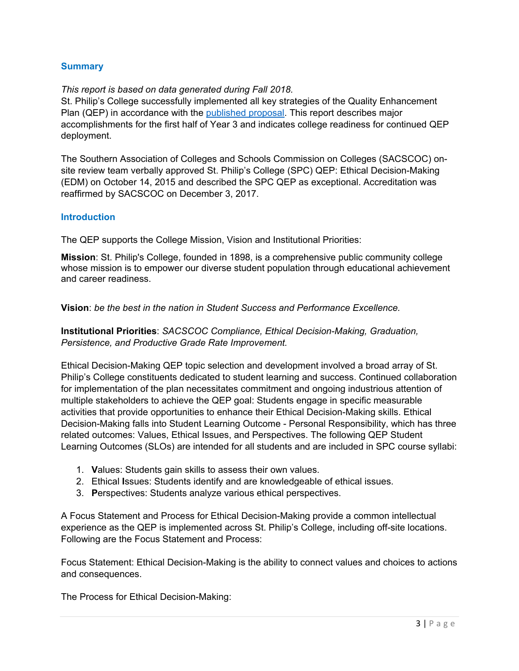#### **Summary**

#### *This report is based on data generated during Fall 2018.*

St. Philip's College successfully implemented all key strategies of the Quality Enhancement Plan (QEP) in accordance with the published proposal. This report describes major accomplishments for the first half of Year 3 and indicates college readiness for continued QEP deployment.

The Southern Association of Colleges and Schools Commission on Colleges (SACSCOC) onsite review team verbally approved St. Philip's College (SPC) QEP: Ethical Decision-Making (EDM) on October 14, 2015 and described the SPC QEP as exceptional. Accreditation was reaffirmed by SACSCOC on December 3, 2017.

#### **Introduction**

The QEP supports the College Mission, Vision and Institutional Priorities:

**Mission**: St. Philip's College, founded in 1898, is a comprehensive public community college whose mission is to empower our diverse student population through educational achievement and career readiness.

**Vision**: *be the best in the nation in Student Success and Performance Excellence.* 

**Institutional Priorities**: *SACSCOC Compliance, Ethical Decision-Making, Graduation, Persistence, and Productive Grade Rate Improvement.* 

Ethical Decision-Making QEP topic selection and development involved a broad array of St. Philip's College constituents dedicated to student learning and success. Continued collaboration for implementation of the plan necessitates commitment and ongoing industrious attention of multiple stakeholders to achieve the QEP goal: Students engage in specific measurable activities that provide opportunities to enhance their Ethical Decision-Making skills. Ethical Decision-Making falls into Student Learning Outcome - Personal Responsibility, which has three related outcomes: Values, Ethical Issues, and Perspectives. The following QEP Student Learning Outcomes (SLOs) are intended for all students and are included in SPC course syllabi:

- 1. **V**alues: Students gain skills to assess their own values.
- 2. Ethical **I**ssues: Students identify and are knowledgeable of ethical issues.
- 3. **P**erspectives: Students analyze various ethical perspectives.

A Focus Statement and Process for Ethical Decision-Making provide a common intellectual experience as the QEP is implemented across St. Philip's College, including off-site locations. Following are the Focus Statement and Process:

Focus Statement: Ethical Decision-Making is the ability to connect values and choices to actions and consequences.

The Process for Ethical Decision-Making: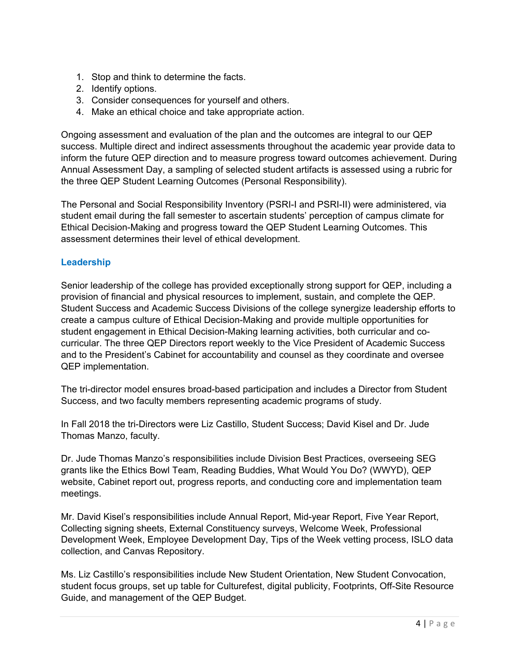- 1. Stop and think to determine the facts.
- 2. Identify options.
- 3. Consider consequences for yourself and others.
- 4. Make an ethical choice and take appropriate action.

Ongoing assessment and evaluation of the plan and the outcomes are integral to our QEP success. Multiple direct and indirect assessments throughout the academic year provide data to inform the future QEP direction and to measure progress toward outcomes achievement. During Annual Assessment Day, a sampling of selected student artifacts is assessed using a rubric for the three QEP Student Learning Outcomes (Personal Responsibility).

The Personal and Social Responsibility Inventory (PSRI-I and PSRI-II) were administered, via student email during the fall semester to ascertain students' perception of campus climate for Ethical Decision-Making and progress toward the QEP Student Learning Outcomes. This assessment determines their level of ethical development.

#### **Leadership**

Senior leadership of the college has provided exceptionally strong support for QEP, including a provision of financial and physical resources to implement, sustain, and complete the QEP. Student Success and Academic Success Divisions of the college synergize leadership efforts to create a campus culture of Ethical Decision-Making and provide multiple opportunities for student engagement in Ethical Decision-Making learning activities, both curricular and cocurricular. The three QEP Directors report weekly to the Vice President of Academic Success and to the President's Cabinet for accountability and counsel as they coordinate and oversee QEP implementation.

The tri-director model ensures broad-based participation and includes a Director from Student Success, and two faculty members representing academic programs of study.

In Fall 2018 the tri-Directors were Liz Castillo, Student Success; David Kisel and Dr. Jude Thomas Manzo, faculty.

Dr. Jude Thomas Manzo's responsibilities include Division Best Practices, overseeing SEG grants like the Ethics Bowl Team, Reading Buddies, What Would You Do? (WWYD), QEP website, Cabinet report out, progress reports, and conducting core and implementation team meetings.

Mr. David Kisel's responsibilities include Annual Report, Mid-year Report, Five Year Report, Collecting signing sheets, External Constituency surveys, Welcome Week, Professional Development Week, Employee Development Day, Tips of the Week vetting process, ISLO data collection, and Canvas Repository.

Ms. Liz Castillo's responsibilities include New Student Orientation, New Student Convocation, student focus groups, set up table for Culturefest, digital publicity, Footprints, Off-Site Resource Guide, and management of the QEP Budget.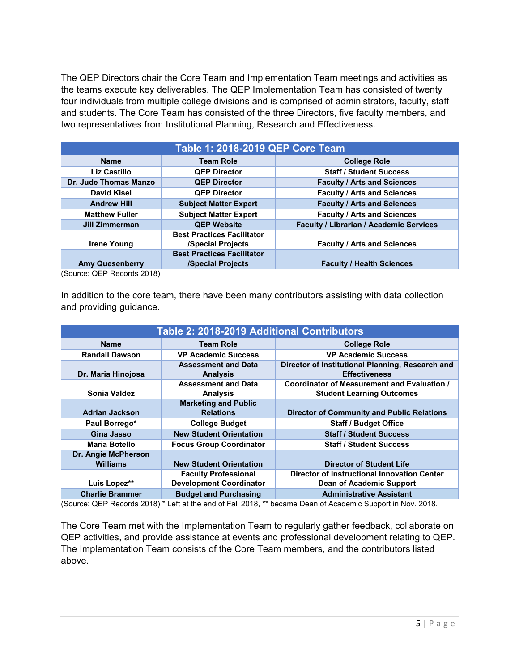The QEP Directors chair the Core Team and Implementation Team meetings and activities as the teams execute key deliverables. The QEP Implementation Team has consisted of twenty four individuals from multiple college divisions and is comprised of administrators, faculty, staff and students. The Core Team has consisted of the three Directors, five faculty members, and two representatives from Institutional Planning, Research and Effectiveness.

| Table 1: 2018-2019 QEP Core Team |                                   |                                                |  |
|----------------------------------|-----------------------------------|------------------------------------------------|--|
| <b>Name</b>                      | <b>Team Role</b>                  | <b>College Role</b>                            |  |
| Liz Castillo                     | <b>QEP Director</b>               | <b>Staff / Student Success</b>                 |  |
| Dr. Jude Thomas Manzo            | <b>QEP Director</b>               | <b>Faculty / Arts and Sciences</b>             |  |
| David Kisel                      | <b>QEP Director</b>               | <b>Faculty / Arts and Sciences</b>             |  |
| <b>Andrew Hill</b>               | <b>Subject Matter Expert</b>      | <b>Faculty / Arts and Sciences</b>             |  |
| <b>Matthew Fuller</b>            | <b>Subject Matter Expert</b>      | <b>Faculty / Arts and Sciences</b>             |  |
| Jill Zimmerman                   | <b>QEP Website</b>                | <b>Faculty / Librarian / Academic Services</b> |  |
|                                  | <b>Best Practices Facilitator</b> |                                                |  |
| <b>Irene Young</b>               | <b>/Special Projects</b>          | <b>Faculty / Arts and Sciences</b>             |  |
|                                  | <b>Best Practices Facilitator</b> |                                                |  |
| <b>Amy Quesenberry</b>           | <b>/Special Projects</b>          | <b>Faculty / Health Sciences</b>               |  |
| (Source: OEP Records 2018)       |                                   |                                                |  |

(Source: QEP Records 2018)

In addition to the core team, there have been many contributors assisting with data collection and providing guidance.

| <b>Table 2: 2018-2019 Additional Contributors</b> |                                |                                                    |  |
|---------------------------------------------------|--------------------------------|----------------------------------------------------|--|
| <b>Name</b>                                       | <b>Team Role</b>               | <b>College Role</b>                                |  |
| <b>Randall Dawson</b>                             | <b>VP Academic Success</b>     | <b>VP Academic Success</b>                         |  |
|                                                   | <b>Assessment and Data</b>     | Director of Institutional Planning, Research and   |  |
| Dr. Maria Hinojosa                                | <b>Analysis</b>                | <b>Effectiveness</b>                               |  |
|                                                   | <b>Assessment and Data</b>     | Coordinator of Measurement and Evaluation /        |  |
| Sonia Valdez                                      | <b>Analysis</b>                | <b>Student Learning Outcomes</b>                   |  |
|                                                   | <b>Marketing and Public</b>    |                                                    |  |
| <b>Adrian Jackson</b>                             | <b>Relations</b>               | <b>Director of Community and Public Relations</b>  |  |
| Paul Borrego*                                     | <b>College Budget</b>          | <b>Staff / Budget Office</b>                       |  |
| Gina Jasso                                        | <b>New Student Orientation</b> | <b>Staff / Student Success</b>                     |  |
| <b>Maria Botello</b>                              | <b>Focus Group Coordinator</b> | <b>Staff / Student Success</b>                     |  |
| Dr. Angie McPherson                               |                                |                                                    |  |
| <b>Williams</b>                                   | <b>New Student Orientation</b> | Director of Student Life                           |  |
|                                                   | <b>Faculty Professional</b>    | <b>Director of Instructional Innovation Center</b> |  |
| Luis Lopez**                                      | <b>Development Coordinator</b> | Dean of Academic Support                           |  |
| <b>Charlie Brammer</b>                            | <b>Budget and Purchasing</b>   | <b>Administrative Assistant</b>                    |  |

(Source: QEP Records 2018) \* Left at the end of Fall 2018, \*\* became Dean of Academic Support in Nov. 2018.

The Core Team met with the Implementation Team to regularly gather feedback, collaborate on QEP activities, and provide assistance at events and professional development relating to QEP. The Implementation Team consists of the Core Team members, and the contributors listed above.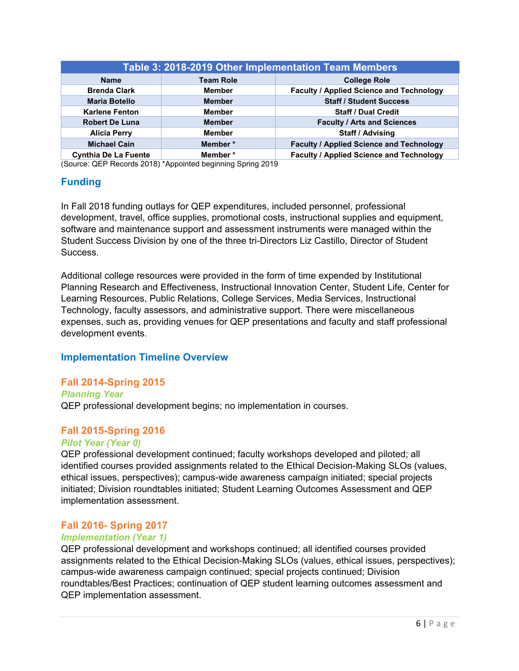| Table 3: 2018-2019 Other Implementation Team Members                         |               |                                                 |  |
|------------------------------------------------------------------------------|---------------|-------------------------------------------------|--|
| <b>Team Role</b><br><b>College Role</b><br><b>Name</b>                       |               |                                                 |  |
| <b>Brenda Clark</b>                                                          | <b>Member</b> | <b>Faculty / Applied Science and Technology</b> |  |
| <b>Staff / Student Success</b><br><b>Maria Botello</b><br><b>Member</b>      |               |                                                 |  |
| <b>Karlene Fenton</b>                                                        | <b>Member</b> | <b>Staff / Dual Credit</b>                      |  |
| <b>Robert De Luna</b><br><b>Faculty / Arts and Sciences</b><br><b>Member</b> |               |                                                 |  |
| Staff / Advising<br><b>Member</b><br><b>Alicia Perry</b>                     |               |                                                 |  |
| <b>Michael Cain</b>                                                          | Member*       | <b>Faculty / Applied Science and Technology</b> |  |
| <b>Cynthia De La Fuente</b>                                                  | Member*       | <b>Faculty / Applied Science and Technology</b> |  |

(Source: QEP Records 2018) \*Appointed beginning Spring 2019

# **Funding**

In Fall 2018 funding outlays for QEP expenditures, included personnel, professional development, travel, office supplies, promotional costs, instructional supplies and equipment, software and maintenance support and assessment instruments were managed within the Student Success Division by one of the three tri-Directors Liz Castillo, Director of Student Success.

Additional college resources were provided in the form of time expended by Institutional Planning Research and Effectiveness, Instructional Innovation Center, Student Life, Center for Learning Resources, Public Relations, College Services, Media Services, Instructional Technology, faculty assessors, and administrative support. There were miscellaneous expenses, such as, providing venues for QEP presentations and faculty and staff professional development events.

# **Implementation Timeline Overview**

# **Fall 2014-Spring 2015**

*Planning Year*

QEP professional development begins; no implementation in courses.

#### **Fall 2015-Spring 2016**

#### *Pilot Year (Year 0)*

QEP professional development continued; faculty workshops developed and piloted; all identified courses provided assignments related to the Ethical Decision-Making SLOs (values, ethical issues, perspectives); campus-wide awareness campaign initiated; special projects initiated; Division roundtables initiated; Student Learning Outcomes Assessment and QEP implementation assessment.

#### **Fall 2016- Spring 2017**

#### *Implementation (Year 1)*

QEP professional development and workshops continued; all identified courses provided assignments related to the Ethical Decision-Making SLOs (values, ethical issues, perspectives); campus-wide awareness campaign continued; special projects continued; Division roundtables/Best Practices; continuation of QEP student learning outcomes assessment and QEP implementation assessment.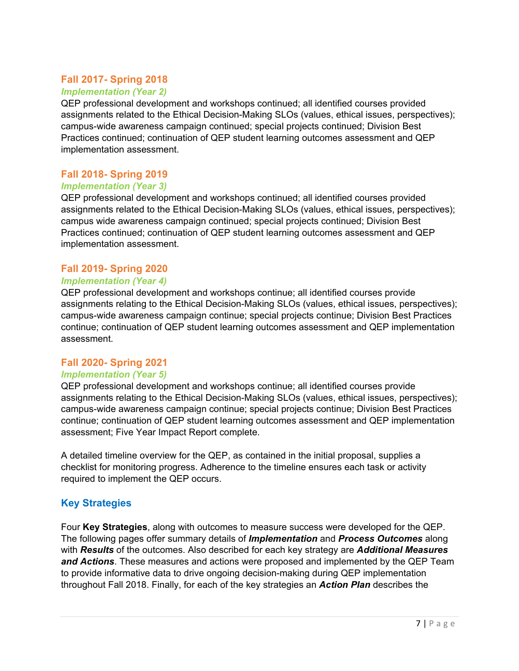# **Fall 2017- Spring 2018**

#### *Implementation (Year 2)*

QEP professional development and workshops continued; all identified courses provided assignments related to the Ethical Decision-Making SLOs (values, ethical issues, perspectives); campus-wide awareness campaign continued; special projects continued; Division Best Practices continued; continuation of QEP student learning outcomes assessment and QEP implementation assessment.

#### **Fall 2018- Spring 2019**

#### *Implementation (Year 3)*

QEP professional development and workshops continued; all identified courses provided assignments related to the Ethical Decision-Making SLOs (values, ethical issues, perspectives); campus wide awareness campaign continued; special projects continued; Division Best Practices continued; continuation of QEP student learning outcomes assessment and QEP implementation assessment.

#### **Fall 2019- Spring 2020**

#### *Implementation (Year 4)*

QEP professional development and workshops continue; all identified courses provide assignments relating to the Ethical Decision-Making SLOs (values, ethical issues, perspectives); campus-wide awareness campaign continue; special projects continue; Division Best Practices continue; continuation of QEP student learning outcomes assessment and QEP implementation assessment.

#### **Fall 2020- Spring 2021**

#### *Implementation (Year 5)*

QEP professional development and workshops continue; all identified courses provide assignments relating to the Ethical Decision-Making SLOs (values, ethical issues, perspectives); campus-wide awareness campaign continue; special projects continue; Division Best Practices continue; continuation of QEP student learning outcomes assessment and QEP implementation assessment; Five Year Impact Report complete.

A detailed timeline overview for the QEP, as contained in the initial proposal, supplies a checklist for monitoring progress. Adherence to the timeline ensures each task or activity required to implement the QEP occurs.

#### **Key Strategies**

Four **Key Strategies**, along with outcomes to measure success were developed for the QEP. The following pages offer summary details of *Implementation* and *Process Outcomes* along with *Results* of the outcomes. Also described for each key strategy are *Additional Measures and Actions*. These measures and actions were proposed and implemented by the QEP Team to provide informative data to drive ongoing decision-making during QEP implementation throughout Fall 2018. Finally, for each of the key strategies an *Action Plan* describes the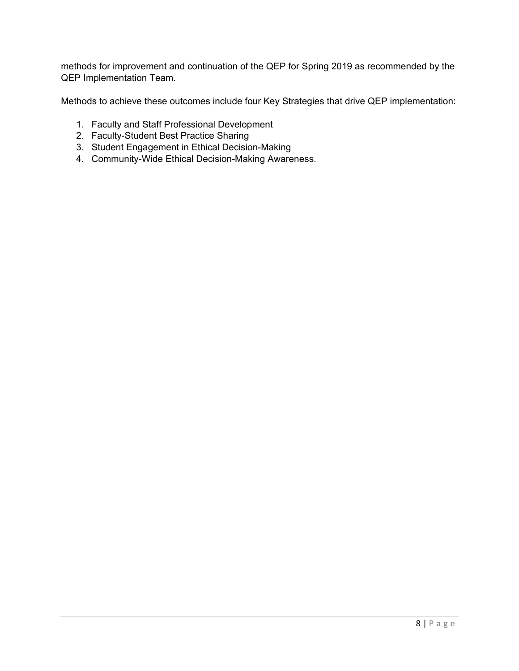methods for improvement and continuation of the QEP for Spring 2019 as recommended by the QEP Implementation Team.

Methods to achieve these outcomes include four Key Strategies that drive QEP implementation:

- 1. Faculty and Staff Professional Development
- 2. Faculty-Student Best Practice Sharing
- 3. Student Engagement in Ethical Decision-Making
- 4. Community-Wide Ethical Decision-Making Awareness.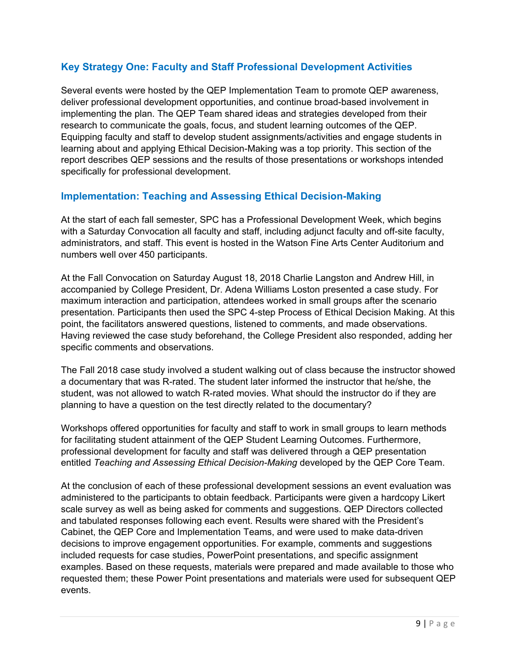# **Key Strategy One: Faculty and Staff Professional Development Activities**

Several events were hosted by the QEP Implementation Team to promote QEP awareness, deliver professional development opportunities, and continue broad-based involvement in implementing the plan. The QEP Team shared ideas and strategies developed from their research to communicate the goals, focus, and student learning outcomes of the QEP. Equipping faculty and staff to develop student assignments/activities and engage students in learning about and applying Ethical Decision-Making was a top priority. This section of the report describes QEP sessions and the results of those presentations or workshops intended specifically for professional development.

#### **Implementation: Teaching and Assessing Ethical Decision-Making**

At the start of each fall semester, SPC has a Professional Development Week, which begins with a Saturday Convocation all faculty and staff, including adjunct faculty and off-site faculty, administrators, and staff. This event is hosted in the Watson Fine Arts Center Auditorium and numbers well over 450 participants.

At the Fall Convocation on Saturday August 18, 2018 Charlie Langston and Andrew Hill, in accompanied by College President, Dr. Adena Williams Loston presented a case study. For maximum interaction and participation, attendees worked in small groups after the scenario presentation. Participants then used the SPC 4-step Process of Ethical Decision Making. At this point, the facilitators answered questions, listened to comments, and made observations. Having reviewed the case study beforehand, the College President also responded, adding her specific comments and observations.

The Fall 2018 case study involved a student walking out of class because the instructor showed a documentary that was R-rated. The student later informed the instructor that he/she, the student, was not allowed to watch R-rated movies. What should the instructor do if they are planning to have a question on the test directly related to the documentary?

Workshops offered opportunities for faculty and staff to work in small groups to learn methods for facilitating student attainment of the QEP Student Learning Outcomes. Furthermore, professional development for faculty and staff was delivered through a QEP presentation entitled *Teaching and Assessing Ethical Decision-Making* developed by the QEP Core Team.

At the conclusion of each of these professional development sessions an event evaluation was administered to the participants to obtain feedback. Participants were given a hardcopy Likert scale survey as well as being asked for comments and suggestions. QEP Directors collected and tabulated responses following each event. Results were shared with the President's Cabinet, the QEP Core and Implementation Teams, and were used to make data-driven decisions to improve engagement opportunities. For example, comments and suggestions included requests for case studies, PowerPoint presentations, and specific assignment examples. Based on these requests, materials were prepared and made available to those who requested them; these Power Point presentations and materials were used for subsequent QEP events.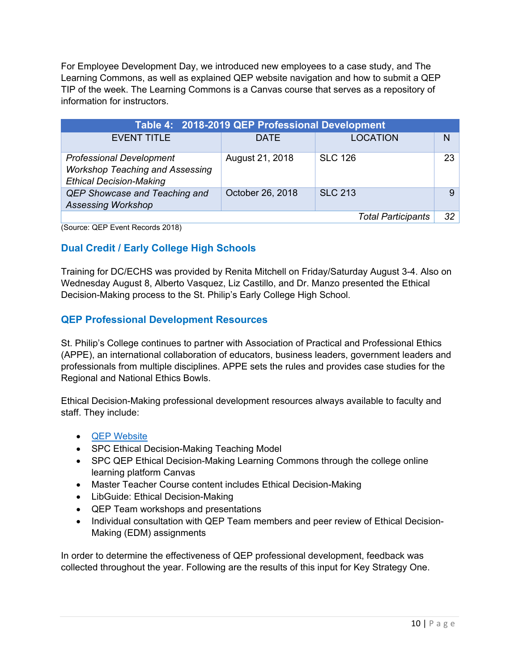For Employee Development Day, we introduced new employees to a case study, and The Learning Commons, as well as explained QEP website navigation and how to submit a QEP TIP of the week. The Learning Commons is a Canvas course that serves as a repository of information for instructors.

| Table 4: 2018-2019 QEP Professional Development                                                             |                  |                 |    |  |
|-------------------------------------------------------------------------------------------------------------|------------------|-----------------|----|--|
| <b>EVENT TITLE</b>                                                                                          | <b>DATE</b>      | <b>LOCATION</b> | N  |  |
| <b>Professional Development</b><br><b>Workshop Teaching and Assessing</b><br><b>Ethical Decision-Making</b> | August 21, 2018  | <b>SLC 126</b>  | 23 |  |
| QEP Showcase and Teaching and<br><b>Assessing Workshop</b>                                                  | October 26, 2018 | <b>SLC 213</b>  | 9  |  |
| 32<br><b>Total Participants</b><br>$\sim$                                                                   |                  |                 |    |  |

(Source: QEP Event Records 2018)

# **Dual Credit / Early College High Schools**

Training for DC/ECHS was provided by Renita Mitchell on Friday/Saturday August 3-4. Also on Wednesday August 8, Alberto Vasquez, Liz Castillo, and Dr. Manzo presented the Ethical Decision-Making process to the St. Philip's Early College High School.

# **QEP Professional Development Resources**

St. Philip's College continues to partner with Association of Practical and Professional Ethics (APPE), an international collaboration of educators, business leaders, government leaders and professionals from multiple disciplines. APPE sets the rules and provides case studies for the Regional and National Ethics Bowls.

Ethical Decision-Making professional development resources always available to faculty and staff. They include:

- QEP Website
- SPC Ethical Decision-Making Teaching Model
- SPC QEP Ethical Decision-Making Learning Commons through the college online learning platform Canvas
- Master Teacher Course content includes Ethical Decision-Making
- LibGuide: Ethical Decision-Making
- QEP Team workshops and presentations
- Individual consultation with QEP Team members and peer review of Ethical Decision-Making (EDM) assignments

In order to determine the effectiveness of QEP professional development, feedback was collected throughout the year. Following are the results of this input for Key Strategy One.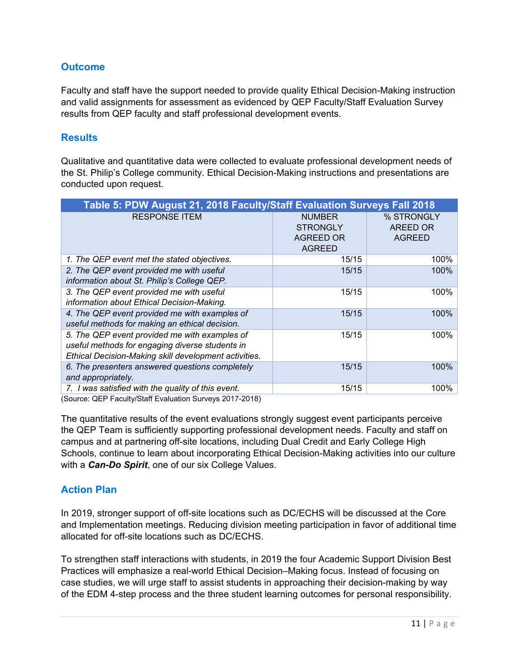## **Outcome**

Faculty and staff have the support needed to provide quality Ethical Decision-Making instruction and valid assignments for assessment as evidenced by QEP Faculty/Staff Evaluation Survey results from QEP faculty and staff professional development events.

#### **Results**

Qualitative and quantitative data were collected to evaluate professional development needs of the St. Philip's College community. Ethical Decision-Making instructions and presentations are conducted upon request.

| Table 5: PDW August 21, 2018 Faculty/Staff Evaluation Surveys Fall 2018                                                                                   |                                                                       |                                         |  |
|-----------------------------------------------------------------------------------------------------------------------------------------------------------|-----------------------------------------------------------------------|-----------------------------------------|--|
| <b>RESPONSE ITEM</b>                                                                                                                                      | <b>NUMBER</b><br><b>STRONGLY</b><br><b>AGREED OR</b><br><b>AGREED</b> | % STRONGLY<br>AREED OR<br><b>AGREED</b> |  |
| 1. The QEP event met the stated objectives.                                                                                                               | 15/15                                                                 | 100%                                    |  |
| 2. The QEP event provided me with useful<br>information about St. Philip's College QEP.                                                                   | 15/15                                                                 | 100%                                    |  |
| 3. The QEP event provided me with useful<br>information about Ethical Decision-Making.                                                                    | 15/15                                                                 | 100%                                    |  |
| 4. The QEP event provided me with examples of<br>useful methods for making an ethical decision.                                                           | 15/15                                                                 | 100%                                    |  |
| 5. The QEP event provided me with examples of<br>useful methods for engaging diverse students in<br>Ethical Decision-Making skill development activities. | 15/15                                                                 | 100%                                    |  |
| 6. The presenters answered questions completely<br>and appropriately.                                                                                     | 15/15                                                                 | 100%                                    |  |
| 7. I was satisfied with the quality of this event.                                                                                                        | 15/15                                                                 | 100%                                    |  |

(Source: QEP Faculty/Staff Evaluation Surveys 2017-2018)

The quantitative results of the event evaluations strongly suggest event participants perceive the QEP Team is sufficiently supporting professional development needs. Faculty and staff on campus and at partnering off-site locations, including Dual Credit and Early College High Schools, continue to learn about incorporating Ethical Decision-Making activities into our culture with a *Can-Do Spirit*, one of our six College Values.

#### **Action Plan**

In 2019, stronger support of off-site locations such as DC/ECHS will be discussed at the Core and Implementation meetings. Reducing division meeting participation in favor of additional time allocated for off-site locations such as DC/ECHS.

To strengthen staff interactions with students, in 2019 the four Academic Support Division Best Practices will emphasize a real-world Ethical Decision–Making focus. Instead of focusing on case studies, we will urge staff to assist students in approaching their decision-making by way of the EDM 4-step process and the three student learning outcomes for personal responsibility.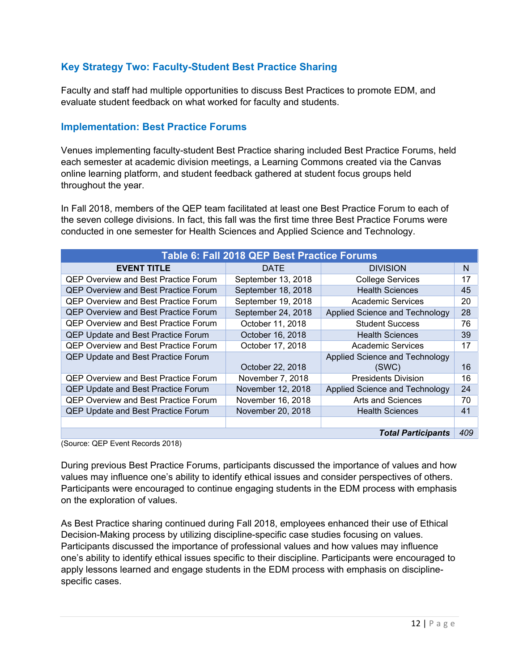# **Key Strategy Two: Faculty-Student Best Practice Sharing**

Faculty and staff had multiple opportunities to discuss Best Practices to promote EDM, and evaluate student feedback on what worked for faculty and students.

#### **Implementation: Best Practice Forums**

Venues implementing faculty-student Best Practice sharing included Best Practice Forums, held each semester at academic division meetings, a Learning Commons created via the Canvas online learning platform, and student feedback gathered at student focus groups held throughout the year.

In Fall 2018, members of the QEP team facilitated at least one Best Practice Forum to each of the seven college divisions. In fact, this fall was the first time three Best Practice Forums were conducted in one semester for Health Sciences and Applied Science and Technology.

| Table 6: Fall 2018 QEP Best Practice Forums |                    |                                |    |
|---------------------------------------------|--------------------|--------------------------------|----|
| <b>EVENT TITLE</b>                          | <b>DATE</b>        | <b>DIVISION</b>                | N  |
| <b>QEP Overview and Best Practice Forum</b> | September 13, 2018 | <b>College Services</b>        | 17 |
| <b>QEP Overview and Best Practice Forum</b> | September 18, 2018 | <b>Health Sciences</b>         | 45 |
| <b>QEP Overview and Best Practice Forum</b> | September 19, 2018 | <b>Academic Services</b>       | 20 |
| <b>QEP Overview and Best Practice Forum</b> | September 24, 2018 | Applied Science and Technology | 28 |
| QEP Overview and Best Practice Forum        | October 11, 2018   | <b>Student Success</b>         | 76 |
| <b>QEP Update and Best Practice Forum</b>   | October 16, 2018   | <b>Health Sciences</b>         | 39 |
| <b>QEP Overview and Best Practice Forum</b> | October 17, 2018   | <b>Academic Services</b>       | 17 |
| QEP Update and Best Practice Forum          |                    | Applied Science and Technology |    |
|                                             | October 22, 2018   | (SWC)                          | 16 |
| <b>QEP Overview and Best Practice Forum</b> | November 7, 2018   | <b>Presidents Division</b>     | 16 |
| <b>QEP Update and Best Practice Forum</b>   | November 12, 2018  | Applied Science and Technology | 24 |
| <b>QEP Overview and Best Practice Forum</b> | November 16, 2018  | Arts and Sciences              | 70 |
| <b>QEP Update and Best Practice Forum</b>   | November 20, 2018  | <b>Health Sciences</b>         | 41 |
|                                             |                    |                                |    |
| 409<br><b>Total Participants</b>            |                    |                                |    |

(Source: QEP Event Records 2018)

During previous Best Practice Forums, participants discussed the importance of values and how values may influence one's ability to identify ethical issues and consider perspectives of others. Participants were encouraged to continue engaging students in the EDM process with emphasis on the exploration of values.

As Best Practice sharing continued during Fall 2018, employees enhanced their use of Ethical Decision-Making process by utilizing discipline-specific case studies focusing on values. Participants discussed the importance of professional values and how values may influence one's ability to identify ethical issues specific to their discipline. Participants were encouraged to apply lessons learned and engage students in the EDM process with emphasis on disciplinespecific cases.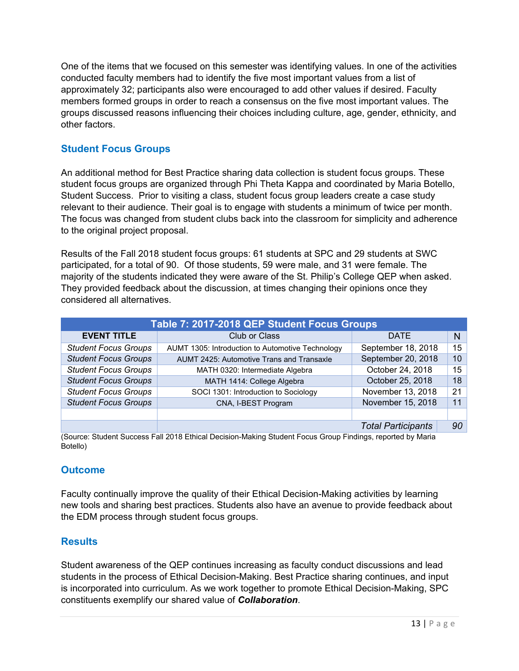One of the items that we focused on this semester was identifying values. In one of the activities conducted faculty members had to identify the five most important values from a list of approximately 32; participants also were encouraged to add other values if desired. Faculty members formed groups in order to reach a consensus on the five most important values. The groups discussed reasons influencing their choices including culture, age, gender, ethnicity, and other factors.

# **Student Focus Groups**

An additional method for Best Practice sharing data collection is student focus groups. These student focus groups are organized through Phi Theta Kappa and coordinated by Maria Botello, Student Success. Prior to visiting a class, student focus group leaders create a case study relevant to their audience. Their goal is to engage with students a minimum of twice per month. The focus was changed from student clubs back into the classroom for simplicity and adherence to the original project proposal.

Results of the Fall 2018 student focus groups: 61 students at SPC and 29 students at SWC participated, for a total of 90. Of those students, 59 were male, and 31 were female. The majority of the students indicated they were aware of the St. Philip's College QEP when asked. They provided feedback about the discussion, at times changing their opinions once they considered all alternatives.

| Table 7: 2017-2018 QEP Student Focus Groups                    |                                                  |                           |    |
|----------------------------------------------------------------|--------------------------------------------------|---------------------------|----|
| <b>EVENT TITLE</b>                                             | <b>DATE</b>                                      | N                         |    |
| <b>Student Focus Groups</b>                                    | AUMT 1305: Introduction to Automotive Technology | September 18, 2018        | 15 |
| <b>Student Focus Groups</b>                                    | AUMT 2425: Automotive Trans and Transaxle        | September 20, 2018        | 10 |
| <b>Student Focus Groups</b><br>MATH 0320: Intermediate Algebra |                                                  | October 24, 2018          | 15 |
| <b>Student Focus Groups</b><br>MATH 1414: College Algebra      |                                                  | October 25, 2018          | 18 |
| <b>Student Focus Groups</b>                                    | SOCI 1301: Introduction to Sociology             | November 13, 2018         | 21 |
| <b>Student Focus Groups</b><br>CNA, I-BEST Program             |                                                  | November 15, 2018         | 11 |
|                                                                |                                                  |                           |    |
|                                                                |                                                  | <b>Total Participants</b> | 90 |

(Source: Student Success Fall 2018 Ethical Decision-Making Student Focus Group Findings, reported by Maria Botello)

#### **Outcome**

Faculty continually improve the quality of their Ethical Decision-Making activities by learning new tools and sharing best practices. Students also have an avenue to provide feedback about the EDM process through student focus groups.

#### **Results**

Student awareness of the QEP continues increasing as faculty conduct discussions and lead students in the process of Ethical Decision-Making. Best Practice sharing continues, and input is incorporated into curriculum. As we work together to promote Ethical Decision-Making, SPC constituents exemplify our shared value of *Collaboration*.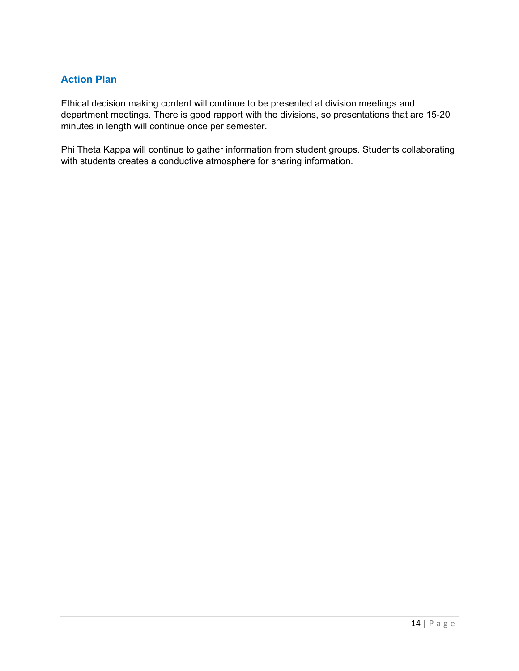# **Action Plan**

Ethical decision making content will continue to be presented at division meetings and department meetings. There is good rapport with the divisions, so presentations that are 15-20 minutes in length will continue once per semester.

Phi Theta Kappa will continue to gather information from student groups. Students collaborating with students creates a conductive atmosphere for sharing information.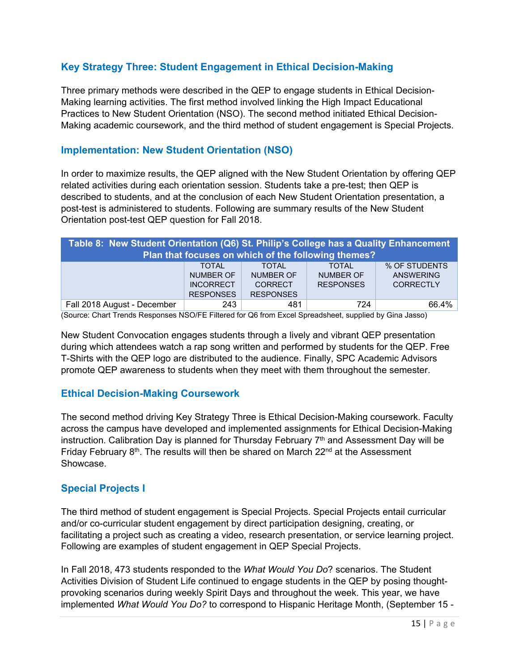# **Key Strategy Three: Student Engagement in Ethical Decision-Making**

Three primary methods were described in the QEP to engage students in Ethical Decision-Making learning activities. The first method involved linking the High Impact Educational Practices to New Student Orientation (NSO). The second method initiated Ethical Decision-Making academic coursework, and the third method of student engagement is Special Projects.

# **Implementation: New Student Orientation (NSO)**

In order to maximize results, the QEP aligned with the New Student Orientation by offering QEP related activities during each orientation session. Students take a pre-test; then QEP is described to students, and at the conclusion of each New Student Orientation presentation, a post-test is administered to students. Following are summary results of the New Student Orientation post-test QEP question for Fall 2018.

# **Table 8: New Student Orientation (Q6) St. Philip's College has a Quality Enhancement Plan that focuses on which of the following themes?**

|                             | <b>TOTAL</b>     | <b>TOTAL</b>     | <b>TOTAL</b>     | % OF STUDENTS |
|-----------------------------|------------------|------------------|------------------|---------------|
|                             | NUMBER OF        | NUMBER OF        | NUMBER OF        | ANSWERING     |
|                             | <b>INCORRECT</b> | CORRECT          | <b>RESPONSES</b> | CORRECTI Y    |
|                             | <b>RESPONSES</b> | <b>RESPONSES</b> |                  |               |
| Fall 2018 August - December | 243              | 481              | 724              | 66.4%         |

(Source: Chart Trends Responses NSO/FE Filtered for Q6 from Excel Spreadsheet, supplied by Gina Jasso)

New Student Convocation engages students through a lively and vibrant QEP presentation during which attendees watch a rap song written and performed by students for the QEP. Free T-Shirts with the QEP logo are distributed to the audience. Finally, SPC Academic Advisors promote QEP awareness to students when they meet with them throughout the semester.

#### **Ethical Decision-Making Coursework**

The second method driving Key Strategy Three is Ethical Decision-Making coursework. Faculty across the campus have developed and implemented assignments for Ethical Decision-Making instruction. Calibration Day is planned for Thursday February  $7<sup>th</sup>$  and Assessment Day will be Friday February  $8<sup>th</sup>$ . The results will then be shared on March 22<sup>nd</sup> at the Assessment Showcase.

# **Special Projects I**

The third method of student engagement is Special Projects. Special Projects entail curricular and/or co-curricular student engagement by direct participation designing, creating, or facilitating a project such as creating a video, research presentation, or service learning project. Following are examples of student engagement in QEP Special Projects.

In Fall 2018, 473 students responded to the *What Would You Do*? scenarios. The Student Activities Division of Student Life continued to engage students in the QEP by posing thoughtprovoking scenarios during weekly Spirit Days and throughout the week. This year, we have implemented *What Would You Do?* to correspond to Hispanic Heritage Month, (September 15 -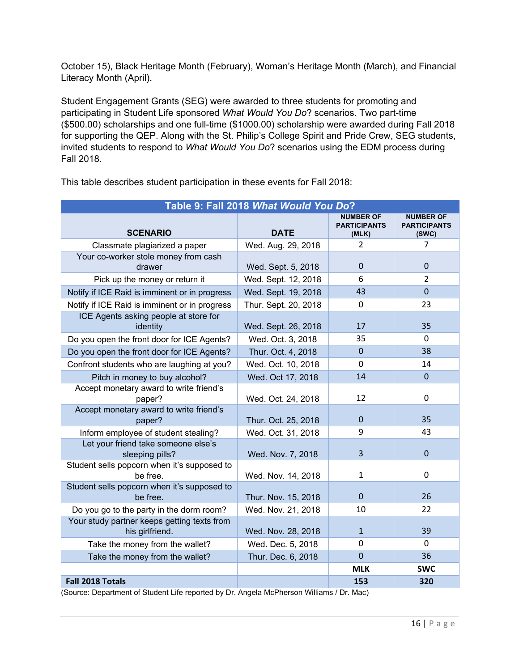October 15), Black Heritage Month (February), Woman's Heritage Month (March), and Financial Literacy Month (April).

Student Engagement Grants (SEG) were awarded to three students for promoting and participating in Student Life sponsored *What Would You Do*? scenarios. Two part-time (\$500.00) scholarships and one full-time (\$1000.00) scholarship were awarded during Fall 2018 for supporting the QEP. Along with the St. Philip's College Spirit and Pride Crew, SEG students, invited students to respond to *What Would You Do*? scenarios using the EDM process during Fall 2018.

| Table 9: Fall 2018 What Would You Do?                          |                      |                                                  |                                                  |
|----------------------------------------------------------------|----------------------|--------------------------------------------------|--------------------------------------------------|
| <b>SCENARIO</b>                                                | <b>DATE</b>          | <b>NUMBER OF</b><br><b>PARTICIPANTS</b><br>(MLK) | <b>NUMBER OF</b><br><b>PARTICIPANTS</b><br>(SWC) |
| Classmate plagiarized a paper                                  | Wed. Aug. 29, 2018   | $\overline{2}$                                   | 7                                                |
| Your co-worker stole money from cash<br>drawer                 | Wed. Sept. 5, 2018   | $\Omega$                                         | $\Omega$                                         |
| Pick up the money or return it                                 | Wed. Sept. 12, 2018  | 6                                                | $\overline{2}$                                   |
| Notify if ICE Raid is imminent or in progress                  | Wed. Sept. 19, 2018  | 43                                               | $\Omega$                                         |
| Notify if ICE Raid is imminent or in progress                  | Thur. Sept. 20, 2018 | 0                                                | 23                                               |
| ICE Agents asking people at store for<br>identity              | Wed. Sept. 26, 2018  | 17                                               | 35                                               |
| Do you open the front door for ICE Agents?                     | Wed. Oct. 3, 2018    | 35                                               | $\Omega$                                         |
| Do you open the front door for ICE Agents?                     | Thur. Oct. 4, 2018   | $\Omega$                                         | 38                                               |
| Confront students who are laughing at you?                     | Wed. Oct. 10, 2018   | 0                                                | 14                                               |
| Pitch in money to buy alcohol?                                 | Wed. Oct 17, 2018    | 14                                               | $\mathbf 0$                                      |
| Accept monetary award to write friend's<br>paper?              | Wed. Oct. 24, 2018   | 12                                               | $\mathbf 0$                                      |
| Accept monetary award to write friend's<br>paper?              | Thur. Oct. 25, 2018  | $\Omega$                                         | 35                                               |
| Inform employee of student stealing?                           | Wed. Oct. 31, 2018   | 9                                                | 43                                               |
| Let your friend take someone else's<br>sleeping pills?         | Wed. Nov. 7, 2018    | $\overline{3}$                                   | $\overline{0}$                                   |
| Student sells popcorn when it's supposed to<br>be free.        | Wed. Nov. 14, 2018   | $\mathbf{1}$                                     | $\mathbf 0$                                      |
| Student sells popcorn when it's supposed to<br>be free.        | Thur. Nov. 15, 2018  | $\overline{0}$                                   | 26                                               |
| Do you go to the party in the dorm room?                       | Wed. Nov. 21, 2018   | 10                                               | 22                                               |
| Your study partner keeps getting texts from<br>his girlfriend. | Wed. Nov. 28, 2018   | $\mathbf{1}$                                     | 39                                               |
| Take the money from the wallet?                                | Wed. Dec. 5, 2018    | $\Omega$                                         | $\Omega$                                         |
| Take the money from the wallet?                                | Thur. Dec. 6, 2018   | $\mathbf 0$                                      | 36                                               |
|                                                                |                      | <b>MLK</b>                                       | <b>SWC</b>                                       |
| Fall 2018 Totals                                               |                      | 153                                              | 320                                              |

This table describes student participation in these events for Fall 2018:

(Source: Department of Student Life reported by Dr. Angela McPherson Williams / Dr. Mac)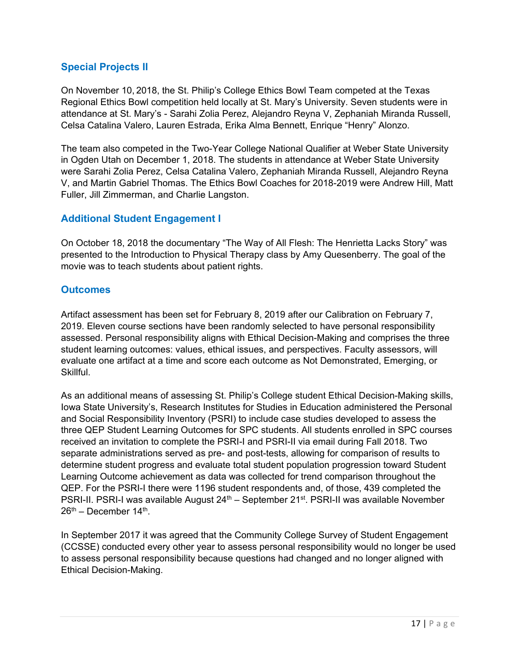# **Special Projects II**

On November 10, 2018, the St. Philip's College Ethics Bowl Team competed at the Texas Regional Ethics Bowl competition held locally at St. Mary's University. Seven students were in attendance at St. Mary's - Sarahi Zolia Perez, Alejandro Reyna V, Zephaniah Miranda Russell, Celsa Catalina Valero, Lauren Estrada, Erika Alma Bennett, Enrique "Henry" Alonzo.

The team also competed in the Two-Year College National Qualifier at Weber State University in Ogden Utah on December 1, 2018. The students in attendance at Weber State University were Sarahi Zolia Perez, Celsa Catalina Valero, Zephaniah Miranda Russell, Alejandro Reyna V, and Martin Gabriel Thomas. The Ethics Bowl Coaches for 2018-2019 were Andrew Hill, Matt Fuller, Jill Zimmerman, and Charlie Langston.

# **Additional Student Engagement I**

On October 18, 2018 the documentary "The Way of All Flesh: The Henrietta Lacks Story" was presented to the Introduction to Physical Therapy class by Amy Quesenberry. The goal of the movie was to teach students about patient rights.

#### **Outcomes**

Artifact assessment has been set for February 8, 2019 after our Calibration on February 7, 2019. Eleven course sections have been randomly selected to have personal responsibility assessed. Personal responsibility aligns with Ethical Decision-Making and comprises the three student learning outcomes: values, ethical issues, and perspectives. Faculty assessors, will evaluate one artifact at a time and score each outcome as Not Demonstrated, Emerging, or Skillful.

As an additional means of assessing St. Philip's College student Ethical Decision-Making skills, Iowa State University's, Research Institutes for Studies in Education administered the Personal and Social Responsibility Inventory (PSRI) to include case studies developed to assess the three QEP Student Learning Outcomes for SPC students. All students enrolled in SPC courses received an invitation to complete the PSRI-I and PSRI-II via email during Fall 2018. Two separate administrations served as pre- and post-tests, allowing for comparison of results to determine student progress and evaluate total student population progression toward Student Learning Outcome achievement as data was collected for trend comparison throughout the QEP. For the PSRI-I there were 1196 student respondents and, of those, 439 completed the PSRI-II. PSRI-I was available August 24<sup>th</sup> – September 21<sup>st</sup>. PSRI-II was available November  $26<sup>th</sup>$  – December 14<sup>th</sup>.

In September 2017 it was agreed that the Community College Survey of Student Engagement (CCSSE) conducted every other year to assess personal responsibility would no longer be used to assess personal responsibility because questions had changed and no longer aligned with Ethical Decision-Making.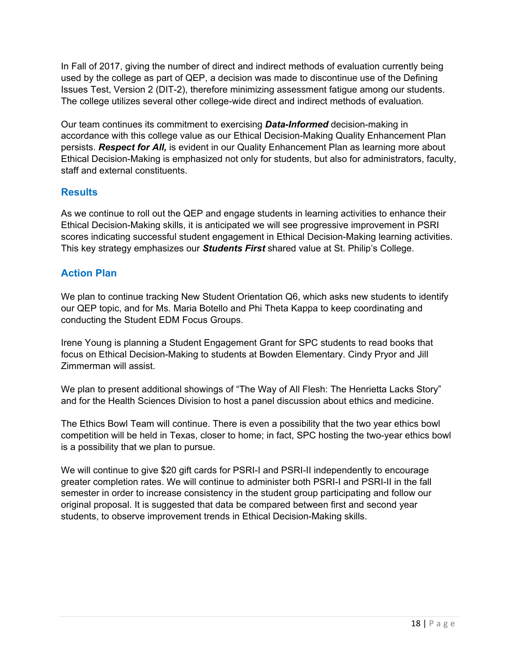In Fall of 2017, giving the number of direct and indirect methods of evaluation currently being used by the college as part of QEP, a decision was made to discontinue use of the Defining Issues Test, Version 2 (DIT-2), therefore minimizing assessment fatigue among our students. The college utilizes several other college-wide direct and indirect methods of evaluation.

Our team continues its commitment to exercising *Data-Informed* decision-making in accordance with this college value as our Ethical Decision-Making Quality Enhancement Plan persists. *Respect for All,* is evident in our Quality Enhancement Plan as learning more about Ethical Decision-Making is emphasized not only for students, but also for administrators, faculty, staff and external constituents.

# **Results**

As we continue to roll out the QEP and engage students in learning activities to enhance their Ethical Decision-Making skills, it is anticipated we will see progressive improvement in PSRI scores indicating successful student engagement in Ethical Decision-Making learning activities. This key strategy emphasizes our *Students First* shared value at St. Philip's College.

# **Action Plan**

We plan to continue tracking New Student Orientation Q6, which asks new students to identify our QEP topic, and for Ms. Maria Botello and Phi Theta Kappa to keep coordinating and conducting the Student EDM Focus Groups.

Irene Young is planning a Student Engagement Grant for SPC students to read books that focus on Ethical Decision-Making to students at Bowden Elementary. Cindy Pryor and Jill Zimmerman will assist.

We plan to present additional showings of "The Way of All Flesh: The Henrietta Lacks Story" and for the Health Sciences Division to host a panel discussion about ethics and medicine.

The Ethics Bowl Team will continue. There is even a possibility that the two year ethics bowl competition will be held in Texas, closer to home; in fact, SPC hosting the two-year ethics bowl is a possibility that we plan to pursue.

We will continue to give \$20 gift cards for PSRI-I and PSRI-II independently to encourage greater completion rates. We will continue to administer both PSRI-I and PSRI-II in the fall semester in order to increase consistency in the student group participating and follow our original proposal. It is suggested that data be compared between first and second year students, to observe improvement trends in Ethical Decision-Making skills.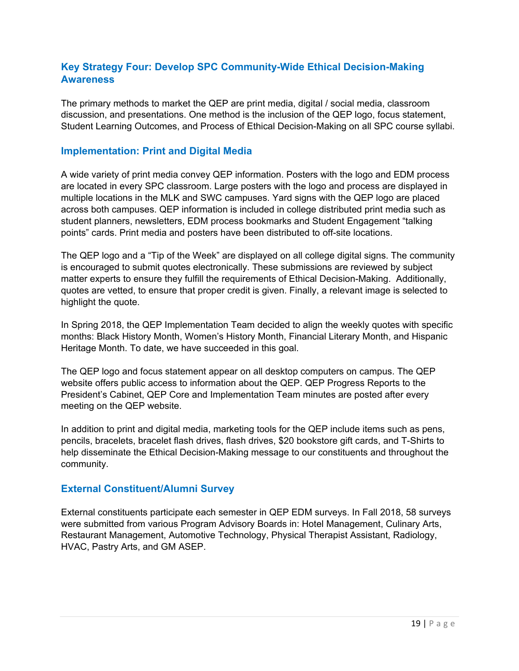# **Key Strategy Four: Develop SPC Community-Wide Ethical Decision-Making Awareness**

The primary methods to market the QEP are print media, digital / social media, classroom discussion, and presentations. One method is the inclusion of the QEP logo, focus statement, Student Learning Outcomes, and Process of Ethical Decision-Making on all SPC course syllabi.

#### **Implementation: Print and Digital Media**

A wide variety of print media convey QEP information. Posters with the logo and EDM process are located in every SPC classroom. Large posters with the logo and process are displayed in multiple locations in the MLK and SWC campuses. Yard signs with the QEP logo are placed across both campuses. QEP information is included in college distributed print media such as student planners, newsletters, EDM process bookmarks and Student Engagement "talking points" cards. Print media and posters have been distributed to off-site locations.

The QEP logo and a "Tip of the Week" are displayed on all college digital signs. The community is encouraged to submit quotes electronically. These submissions are reviewed by subject matter experts to ensure they fulfill the requirements of Ethical Decision-Making. Additionally, quotes are vetted, to ensure that proper credit is given. Finally, a relevant image is selected to highlight the quote.

In Spring 2018, the QEP Implementation Team decided to align the weekly quotes with specific months: Black History Month, Women's History Month, Financial Literary Month, and Hispanic Heritage Month. To date, we have succeeded in this goal.

The QEP logo and focus statement appear on all desktop computers on campus. The QEP website offers public access to information about the QEP. QEP Progress Reports to the President's Cabinet, QEP Core and Implementation Team minutes are posted after every meeting on the QEP website.

In addition to print and digital media, marketing tools for the QEP include items such as pens, pencils, bracelets, bracelet flash drives, flash drives, \$20 bookstore gift cards, and T-Shirts to help disseminate the Ethical Decision-Making message to our constituents and throughout the community.

#### **External Constituent/Alumni Survey**

External constituents participate each semester in QEP EDM surveys. In Fall 2018, 58 surveys were submitted from various Program Advisory Boards in: Hotel Management, Culinary Arts, Restaurant Management, Automotive Technology, Physical Therapist Assistant, Radiology, HVAC, Pastry Arts, and GM ASEP.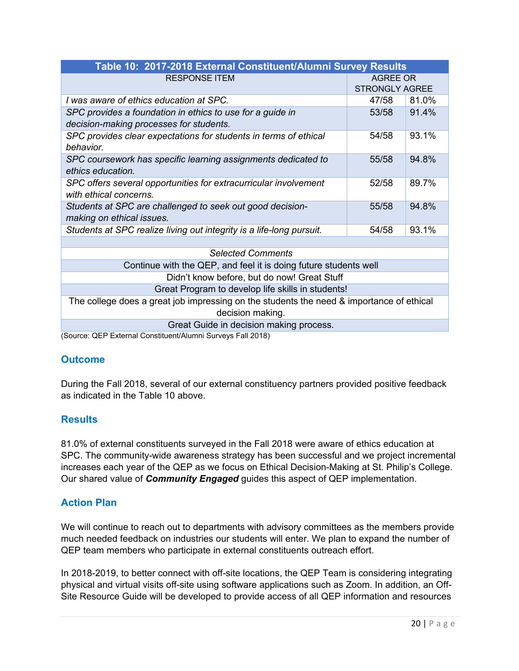| Table 10: 2017-2018 External Constituent/Alumni Survey Results                           |                       |       |
|------------------------------------------------------------------------------------------|-----------------------|-------|
| <b>RESPONSE ITEM</b>                                                                     | AGREE OR              |       |
|                                                                                          | <b>STRONGLY AGREE</b> |       |
| I was aware of ethics education at SPC.                                                  | 47/58                 | 81.0% |
| SPC provides a foundation in ethics to use for a guide in                                | 53/58                 | 91.4% |
| decision-making processes for students.                                                  |                       |       |
| SPC provides clear expectations for students in terms of ethical                         | 54/58                 | 93.1% |
| behavior.                                                                                |                       |       |
| SPC coursework has specific learning assignments dedicated to                            | 55/58                 | 94.8% |
| ethics education.                                                                        |                       |       |
| SPC offers several opportunities for extracurricular involvement                         | 52/58                 | 89.7% |
| with ethical concerns.                                                                   |                       |       |
| Students at SPC are challenged to seek out good decision-                                | 55/58                 | 94.8% |
| making on ethical issues.                                                                |                       |       |
| Students at SPC realize living out integrity is a life-long pursuit.                     | 54/58                 | 93.1% |
|                                                                                          |                       |       |
| <b>Selected Comments</b>                                                                 |                       |       |
| Continue with the QEP, and feel it is doing future students well                         |                       |       |
| Didn't know before, but do now! Great Stuff                                              |                       |       |
| Great Program to develop life skills in students!                                        |                       |       |
| The college does a great job impressing on the students the need & importance of ethical |                       |       |
| decision making.                                                                         |                       |       |
| Great Guide in decision making process.                                                  |                       |       |
| (Source: OEP External Constituent/Alumni Surveys Fall 2018)                              |                       |       |

(Source: QEP External Constituent/Alumni Surveys Fall 2018)

#### **Outcome**

During the Fall 2018, several of our external constituency partners provided positive feedback as indicated in the Table 10 above.

# **Results**

81.0% of external constituents surveyed in the Fall 2018 were aware of ethics education at SPC. The community-wide awareness strategy has been successful and we project incremental increases each year of the QEP as we focus on Ethical Decision-Making at St. Philip's College. Our shared value of *Community Engaged* guides this aspect of QEP implementation.

# **Action Plan**

We will continue to reach out to departments with advisory committees as the members provide much needed feedback on industries our students will enter. We plan to expand the number of QEP team members who participate in external constituents outreach effort.

In 2018-2019, to better connect with off-site locations, the QEP Team is considering integrating physical and virtual visits off-site using software applications such as Zoom. In addition, an Off-Site Resource Guide will be developed to provide access of all QEP information and resources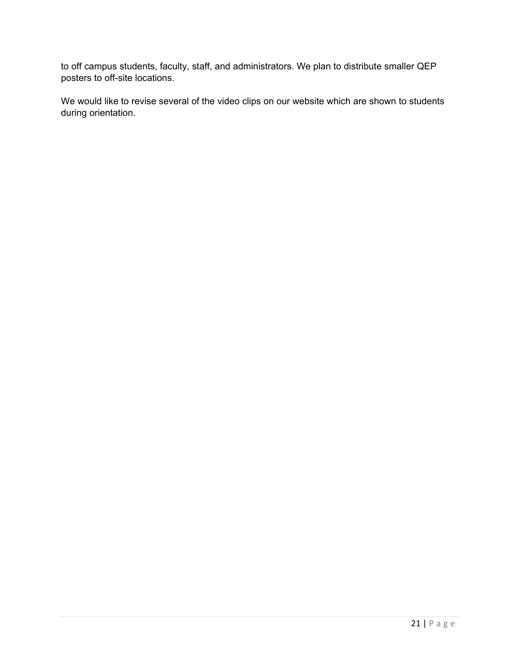to off campus students, faculty, staff, and administrators. We plan to distribute smaller QEP posters to off-site locations.

We would like to revise several of the video clips on our website which are shown to students during orientation.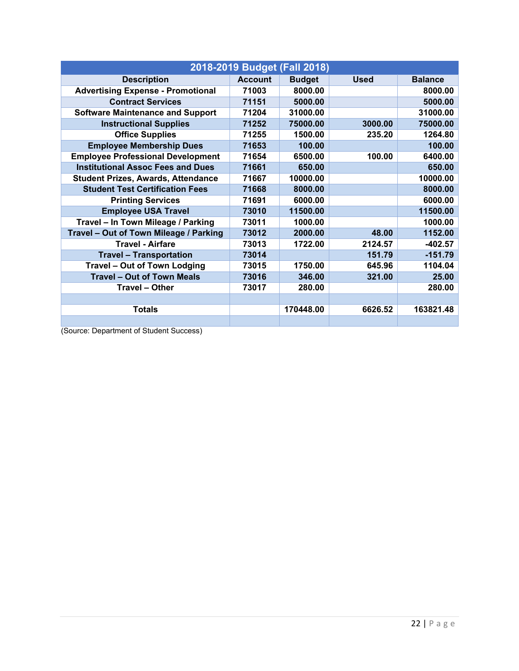| 2018-2019 Budget (Fall 2018)              |                |               |             |                |
|-------------------------------------------|----------------|---------------|-------------|----------------|
| <b>Description</b>                        | <b>Account</b> | <b>Budget</b> | <b>Used</b> | <b>Balance</b> |
| <b>Advertising Expense - Promotional</b>  | 71003          | 8000.00       |             | 8000.00        |
| <b>Contract Services</b>                  | 71151          | 5000.00       |             | 5000.00        |
| <b>Software Maintenance and Support</b>   | 71204          | 31000.00      |             | 31000.00       |
| <b>Instructional Supplies</b>             | 71252          | 75000.00      | 3000.00     | 75000.00       |
| <b>Office Supplies</b>                    | 71255          | 1500.00       | 235.20      | 1264.80        |
| <b>Employee Membership Dues</b>           | 71653          | 100.00        |             | 100.00         |
| <b>Employee Professional Development</b>  | 71654          | 6500.00       | 100.00      | 6400.00        |
| <b>Institutional Assoc Fees and Dues</b>  | 71661          | 650.00        |             | 650.00         |
| <b>Student Prizes, Awards, Attendance</b> | 71667          | 10000.00      |             | 10000.00       |
| <b>Student Test Certification Fees</b>    | 71668          | 8000.00       |             | 8000.00        |
| <b>Printing Services</b>                  | 71691          | 6000.00       |             | 6000.00        |
| <b>Employee USA Travel</b>                | 73010          | 11500.00      |             | 11500.00       |
| Travel - In Town Mileage / Parking        | 73011          | 1000.00       |             | 1000.00        |
| Travel - Out of Town Mileage / Parking    | 73012          | 2000.00       | 48.00       | 1152.00        |
| <b>Travel - Airfare</b>                   | 73013          | 1722.00       | 2124.57     | $-402.57$      |
| <b>Travel - Transportation</b>            | 73014          |               | 151.79      | $-151.79$      |
| Travel - Out of Town Lodging              | 73015          | 1750.00       | 645.96      | 1104.04        |
| <b>Travel - Out of Town Meals</b>         | 73016          | 346.00        | 321.00      | 25.00          |
| <b>Travel - Other</b>                     | 73017          | 280.00        |             | 280.00         |
|                                           |                |               |             |                |
| <b>Totals</b>                             |                | 170448.00     | 6626.52     | 163821.48      |
|                                           |                |               |             |                |

(Source: Department of Student Success)